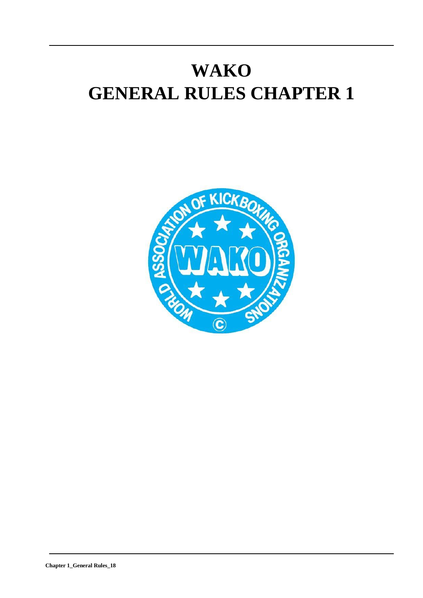# **WAKO GENERAL RULES CHAPTER 1**

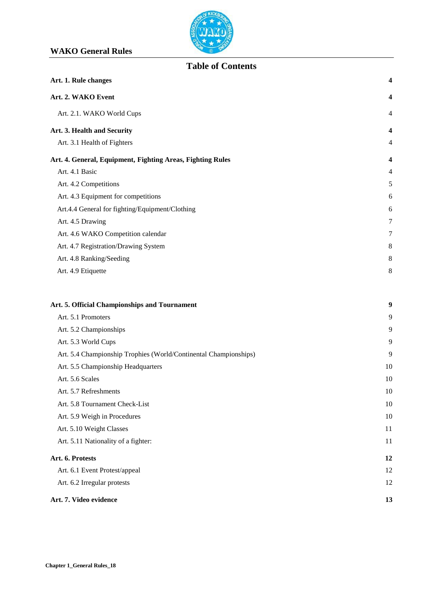

# **Table of Contents**

| Art. 1. Rule changes                                             | 4              |
|------------------------------------------------------------------|----------------|
| Art. 2. WAKO Event                                               | 4              |
| Art. 2.1. WAKO World Cups                                        | 4              |
| Art. 3. Health and Security                                      | 4              |
| Art. 3.1 Health of Fighters                                      | 4              |
| Art. 4. General, Equipment, Fighting Areas, Fighting Rules       | 4              |
| Art. 4.1 Basic                                                   | $\overline{4}$ |
| Art. 4.2 Competitions                                            | 5              |
| Art. 4.3 Equipment for competitions                              | 6              |
| Art.4.4 General for fighting/Equipment/Clothing                  | 6              |
| Art. 4.5 Drawing                                                 | 7              |
| Art. 4.6 WAKO Competition calendar                               | 7              |
| Art. 4.7 Registration/Drawing System                             | $\,8\,$        |
| Art. 4.8 Ranking/Seeding                                         | $\,8\,$        |
| Art. 4.9 Etiquette                                               | 8              |
| Art. 5. Official Championships and Tournament                    | 9              |
| Art. 5.1 Promoters                                               | 9              |
| Art. 5.2 Championships                                           | 9              |
| Art. 5.3 World Cups                                              | 9              |
| Art. 5.4 Championship Trophies (World/Continental Championships) | 9              |
| Art. 5.5 Championship Headquarters                               | 10             |
| Art. 5.6 Scales                                                  | 10             |
| Art. 5.7 Refreshments                                            | 10             |
| Art. 5.8 Tournament Check-List                                   | 10             |
| Art. 5.9 Weigh in Procedures                                     | 10             |
| Art. 5.10 Weight Classes                                         | 11             |
| Art. 5.11 Nationality of a fighter:                              | 11             |
| Art. 6. Protests                                                 | 12             |
| Art. 6.1 Event Protest/appeal                                    | 12             |
| Art. 6.2 Irregular protests                                      | 12             |
| Art. 7. Video evidence                                           | 13             |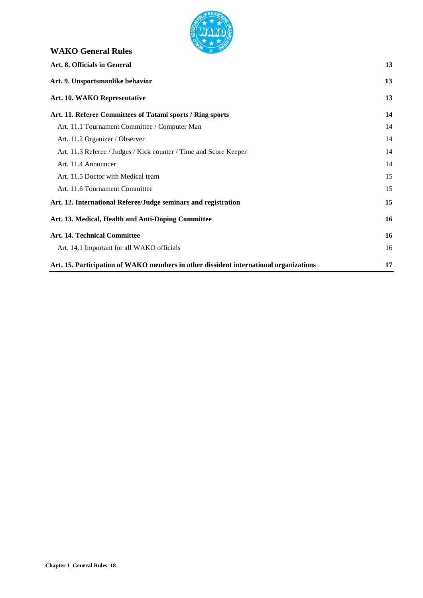

# **WAKO General Rules Art. 8. Officials in General 13 Art. 9. Unsportsmanlike behavior 13 Art. 10. [WAKO Representative](#page-12-2) 13 [Art. 11. Referee Committees of Tatami sports /](#page-12-3) Ring sports 14** [Art. 11.1 Tournament Committee /](#page-14-0) Computer Man 14 [Art. 11.2 Organizer](#page-13-0) / Observer 14 [Art. 11.3 Referee / Judges / Kick](#page-13-1) counter / Time and Score Keeper 14 [Art. 11.4 Announcer](#page-13-2) 14 [Art. 11.5 Doctor with](#page-14-0) Medical team 15 Art. 11.6 [Tournament](#page-14-1) Committee 15 **Art. 12. International Referee/Judge seminars and registration 15 [Art. 13. Medical, Health and](#page-15-0) Anti-Doping Committee 16 Art. 14. Technical [Committee](#page-15-0) 16** [Art. 14.1 Important for all](#page-15-0) WAKO officials 16 **Art. 15. Participation of WAKO members in other dissident international organizations 17**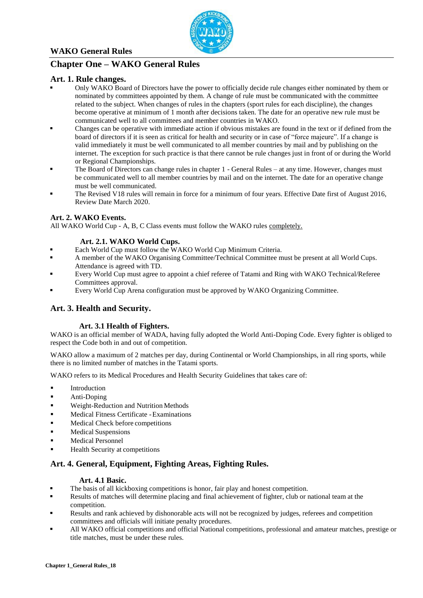

# **Chapter One – WAKO General Rules**

#### <span id="page-3-0"></span>**Art. 1. Rule changes.**

- Only WAKO Board of Directors have the power to officially decide rule changes either nominated by them or nominated by committees appointed by them. A change of rule must be communicated with the committee related to the subject. When changes of rules in the chapters (sport rules for each discipline), the changes become operative at minimum of 1 month after decisions taken. The date for an operative new rule must be communicated well to all committees and member countries in WAKO.
- Changes can be operative with immediate action if obvious mistakes are found in the text or if defined from the board of directors if it is seen as critical for health and security or in case of "force majeure". If a change is valid immediately it must be well communicated to all member countries by mail and by publishing on the internet. The exception for such practice is that there cannot be rule changes just in front of or during the World or Regional Championships.
- The Board of Directors can change rules in chapter 1 General Rules at any time. However, changes must be communicated well to all member countries by mail and on the internet. The date for an operative change must be well communicated.
- The Revised V18 rules will remain in force for a minimum of four years. Effective Date first of August 2016, Review Date March 2020.

#### **Art. 2. WAKO Events.**

All WAKO World Cup - A, B, C Class events must follow the WAKO rules completely.

#### **Art. 2.1. WAKO World Cups.**

- Each World Cup must follow the WAKO World Cup Minimum Criteria.
- A member of the WAKO Organising Committee/Technical Committee must be present at all World Cups. Attendance is agreed with TD.
- Every World Cup must agree to appoint a chief referee of Tatami and Ring with WAKO Technical/Referee Committees approval.
- Every World Cup Arena configuration must be approved by WAKO Organizing Committee.

#### <span id="page-3-1"></span>**Art. 3. Health and Security.**

#### **Art. 3.1 Health of Fighters.**

<span id="page-3-2"></span>WAKO is an official member of WADA, having fully adopted the World Anti-Doping Code. Every fighter is obliged to respect the Code both in and out of competition.

WAKO allow a maximum of 2 matches per day, during Continental or World Championships, in all ring sports, while there is no limited number of matches in the Tatami sports.

WAKO refers to its Medical Procedures and Health Security Guidelines that takes care of:

- **Introduction**
- **Anti-Doping**
- **Weight-Reduction and Nutrition Methods**
- Medical Fitness Certificate -Examinations
- Medical Check before competitions
- Medical Suspensions
- Medical Personnel
- Health Security at competitions

#### <span id="page-3-4"></span>**Art. 4. General, Equipment, Fighting Areas, Fighting Rules.**

#### <span id="page-3-3"></span>**Art. 4.1 Basic.**

- The basis of all kickboxing competitions is honor, fair play and honest competition.
- Results of matches will determine placing and final achievement of fighter, club or national team at the competition.
- Results and rank achieved by dishonorable acts will not be recognized by judges, referees and competition committees and officials will initiate penalty procedures.
- All WAKO official competitions and official National competitions, professional and amateur matches, prestige or title matches, must be under these rules.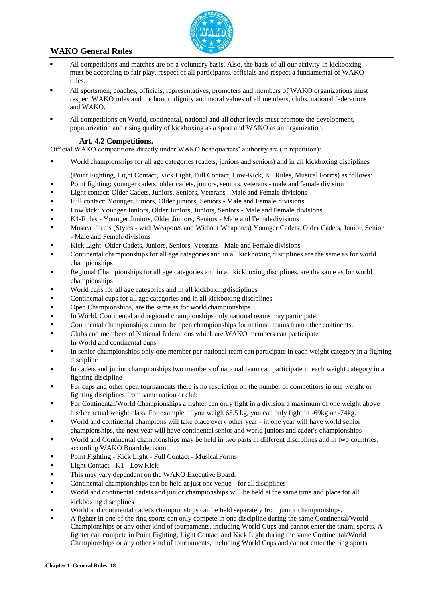

- All competitions and matches are on a voluntary basis. Also, the basis of all our activity in kickboxing must be according to fair play, respect of all participants, officials and respect a fundamental of WAKO rules.
- All sportsmen, coaches, officials, representatives, promoters and members of WAKO organizations must respect WAKO rules and the honor, dignity and moral values of all members, clubs, national federations and WAKO.
- All competitions on World, continental, national and all other levels must promote the development, popularization and rising quality of kickboxing as a sport and WAKO as an organization.

#### **Art. 4.2 Competitions.**

<span id="page-4-0"></span>Official WAKO competitions directly under WAKO headquarters' authority are (in repetition):

World championships for all age categories (cadets, juniors and seniors) and in all kickboxing disciplines

(Point Fighting, Light Contact, Kick Light, Full Contact, Low-Kick, K1 Rules, Musical Forms) as follows:

- Point fighting: younger cadets, older cadets, juniors, seniors, veterans male and female division
- Light contact: Older Cadets, Juniors, Seniors, Veterans Male and Female divisions
- Full contact: Younger Juniors, Older juniors, Seniors Male and Female divisions
- **Low kick: Younger Juniors, Older Juniors, Juniors, Seniors Male and Female divisions**
- K1-Rules Younger Juniors, Older Juniors, Seniors Male and Femaledivisions
- Musical forms (Styles with Weapon/s and Without Weapon/s) Younger Cadets, Older Cadets, Junior, Senior - Male and Female divisions
- Kick Light: Older Cadets, Juniors, Seniors, Veterans Male and Female divisions
- Continental championships for all age categories and in all kickboxing disciplines are the same as for world championships
- **Regional Championships for all age categories and in all kickboxing disciplines, are the same as for world** championships
- World cups for all age categories and in all kickboxingdisciplines
- Continental cups for all age categories and in all kickboxing disciplines
- **•** Open Championships, are the same as for world championships
- In World, Continental and regional championships only national teams may participate.
- Continental championships cannot be open championships for national teams from other continents.
- Clubs and members of National federations which are WAKO members can participate In World and continental cups.
- In senior championships only one member per national team can participate in each weight category in a fighting discipline
- In cadets and junior championships two members of national team can participate in each weight category in a fighting discipline
- For cups and other open tournaments there is no restriction on the number of competitors in one weight or fighting disciplines from same nation or club
- For Continental/World Championships a fighter can only fight in a division a maximum of one weight above his/her actual weight class. For example, if you weigh 65.5 kg, you can only fight in -69kg or -74kg.
- World and continental champions will take place every other year in one year will have world senior championships, the next year will have continental senior and world juniors and cadet's championships
- World and Continental championships may be held in two parts in different disciplines and in two countries, according WAKO Board decision.
- Point Fighting Kick Light Full Contact MusicalForms
- $\blacksquare$  Light Contact K1 Low Kick
- This may vary dependent on the WAKO Executive Board.
- Continental championships can be held at just one venue for alldisciplines
- World and continental cadets and junior championships will be held at the same time and place for all kickboxing disciplines
- World and continental cadet's championships can be held separately from junior championships.
- A fighter in one of the ring sports can only compete in one discipline during the same Continental/World Championships or any other kind of tournaments, including World Cups and cannot enter the tatami sports. A fighter can compete in Point Fighting, Light Contact and Kick Light during the same Continental/World Championships or any other kind of tournaments, including World Cups and cannot enter the ring sports.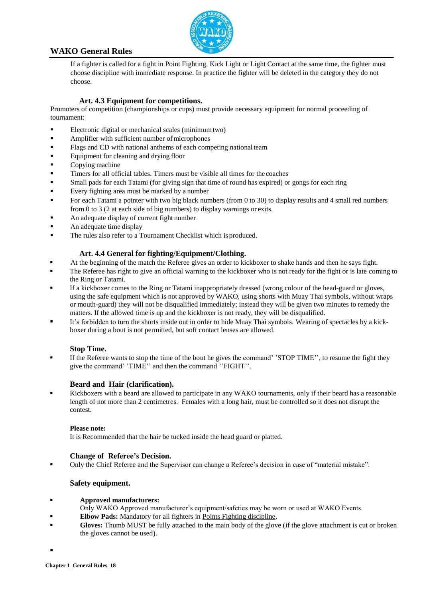

If a fighter is called for a fight in Point Fighting, Kick Light or Light Contact at the same time, the fighter must choose discipline with immediate response. In practice the fighter will be deleted in the category they do not choose.

#### **Art. 4.3 Equipment for competitions.**

<span id="page-5-0"></span>Promoters of competition (championships or cups) must provide necessary equipment for normal proceeding of tournament:

- Electronic digital or mechanical scales (minimum two)
- **Amplifier with sufficient number of microphones**
- Flags and CD with national anthems of each competing nationalteam
- Equipment for cleaning and drying floor
- Copying machine
- Timers for all official tables. Timers must be visible all times for the coaches
- Small pads for each Tatami (for giving sign that time of round has expired) or gongs for each ring
- Every fighting area must be marked by a number
- For each Tatami a pointer with two big black numbers (from 0 to 30) to display results and 4 small red numbers from 0 to 3 (2 at each side of big numbers) to display warnings or exits.
- An adequate display of current fight number
- An adequate time display
- The rules also refer to a Tournament Checklist which is produced.

#### **Art. 4.4 General for fighting/Equipment/Clothing.**

- At the beginning of the match the Referee gives an order to kickboxer to shake hands and then he says fight.
- The Referee has right to give an official warning to the kickboxer who is not ready for the fight or is late coming to the Ring or Tatami.
- If a kickboxer comes to the Ring or Tatami inappropriately dressed (wrong colour of the head-guard or gloves, using the safe equipment which is not approved by WAKO, using shorts with Muay Thai symbols, without wraps or mouth-guard) they will not be disqualified immediately; instead they will be given two minutes to remedy the matters. If the allowed time is up and the kickboxer is not ready, they will be disqualified.
- It's forbidden to turn the shorts inside out in order to hide Muay Thai symbols. Wearing of spectacles by a kickboxer during a bout is not permitted, but soft contact lenses are allowed.

#### **Stop Time.**

 If the Referee wants to stop the time of the bout he gives the command' 'STOP TIME'', to resume the fight they give the command' 'TIME'' and then the command ''FIGHT''.

#### **Beard and Hair (clarification).**

Kickboxers with a beard are allowed to participate in any WAKO tournaments, only if their beard has a reasonable length of not more than 2 centimetres. Females with a long hair, must be controlled so it does not disrupt the contest.

#### **Please note:**

It is Recommended that the hair be tucked inside the head guard or platted.

#### **Change of Referee's Decision.**

Only the Chief Referee and the Supervisor can change a Referee's decision in case of "material mistake".

#### **Safety equipment.**

- **Approved manufacturers:**
- Only WAKO Approved manufacturer's equipment/safeties may be worn or used at WAKO Events.
- **Elbow Pads:** Mandatory for all fighters in Points Fighting discipline.
- Gloves: Thumb MUST be fully attached to the main body of the glove (if the glove attachment is cut or broken the gloves cannot be used).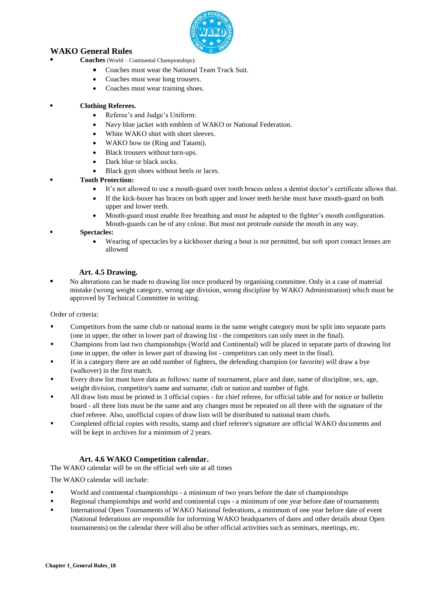

- **Coaches** (World Continental Championships):
	- Coaches must wear the National Team Track Suit.
	- Coaches must wear long trousers.
	- Coaches must wear training shoes.

#### **Clothing Referees.**

- Referee's and Judge's Uniform:
- Navy blue jacket with emblem of WAKO or National Federation.
- White WAKO shirt with short sleeves.
- WAKO bow tie (Ring and Tatami).
- Black trousers without turn-ups.
- Dark blue or black socks.
- Black gym shoes without heels or laces.

#### **Tooth Protection:**

- It's not allowed to use a mouth-guard over tooth braces unless a dentist doctor's certificate allows that.
- If the kick-boxer has braces on both upper and lower teeth he/she must have mouth-guard on both upper and lower teeth.
- Mouth-guard must enable free breathing and must be adapted to the fighter's mouth configuration. Mouth-guards can be of any colour. But must not protrude outside the mouth in any way.

#### **Spectacles:**

 Wearing of spectacles by a kickboxer during a bout is not permitted, but soft sport contact lenses are allowed

#### **Art. 4.5 Drawing.**

<span id="page-6-0"></span> No alterations can be made to drawing list once produced by organising committee. Only in a case of material mistake (wrong weight category, wrong age division, wrong discipline by WAKO Administration) which must be approved by Technical Committee in writing.

Order of criteria:

- Competitors from the same club or national teams in the same weight category must be split into separate parts (one in upper, the other in lower part of drawing list - the competitors can only meet in the final).
- Champions from last two championships (World and Continental) will be placed in separate parts of drawing list (one in upper, the other in lower part of drawing list - competitors can only meet in the final).
- If in a category there are an odd number of fighters, the defending champion (or favorite) will draw a bye (walkover) in the first match.
- Every draw list must have data as follows: name of tournament, place and date, name of discipline, sex, age, weight division, competitor's name and surname, club or nation and number of fight.
- All draw lists must be printed in 3 official copies for chief referee, for official table and for notice or bulletin board - all three lists must be the same and any changes must be repeated on all three with the signature of the chief referee. Also, unofficial copies of draw lists will be distributed to national team chiefs.
- Completed official copies with results, stamp and chief referee's signature are official WAKO documents and will be kept in archives for a minimum of 2 years.

#### **Art. 4.6 WAKO Competition calendar.**

<span id="page-6-1"></span>The WAKO calendar will be on the official web site at all times

The WAKO calendar will include:

- World and continental championships a minimum of two years before the date of championships
- **Regional championships and world and continental cups a minimum of one year before date of tournaments**
- International Open Tournaments of WAKO National federations, a minimum of one year before date of event (National federations are responsible for informing WAKO headquarters of dates and other details about Open tournaments) on the calendar there will also be other official activities such as seminars, meetings, etc.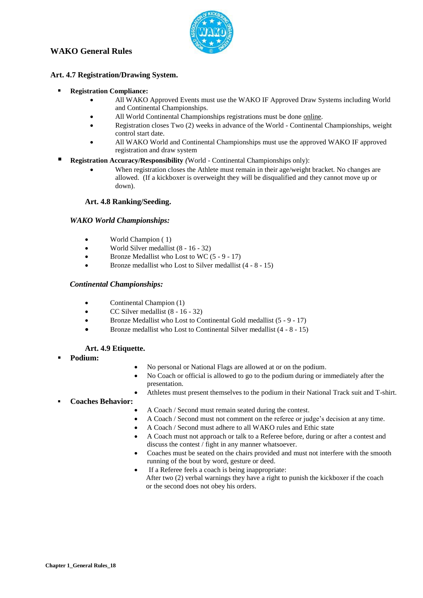

#### **Art. 4.7 Registration/Drawing System.**

- **Registration Compliance:**
	- All WAKO Approved Events must use the WAKO IF Approved Draw Systems including World and Continental Championships.
	- All World Continental Championships registrations must be done online.
	- Registration closes Two (2) weeks in advance of the World Continental Championships, weight control start date.
	- All WAKO World and Continental Championships must use the approved WAKO IF approved registration and draw system
- **Registration Accuracy/Responsibility** *(*World Continental Championships only):
	- When registration closes the Athlete must remain in their age/weight bracket. No changes are allowed. (If a kickboxer is overweight they will be disqualified and they cannot move up or down).

#### **Art. 4.8 Ranking/Seeding.**

#### *WAKO World Championships:*

- World Champion ( 1)
- World Silver medallist (8 16 32)
- Bronze Medallist who Lost to WC (5 9 17)
- Bronze medallist who Lost to Silver medallist (4 8 15)

#### *Continental Championships:*

- Continental Champion (1)
- CC Silver medallist (8 16 32)
- Bronze Medallist who Lost to Continental Gold medallist (5 9 17)
- Bronze medallist who Lost to Continental Silver medallist (4 8 15)

#### **Art. 4.9 Etiquette.**

- **Podium:**
- No personal or National Flags are allowed at or on the podium.
- No Coach or official is allowed to go to the podium during or immediately after the presentation.
- Athletes must present themselves to the podium in their National Track suit and T-shirt.

#### **Coaches Behavior:**

- A Coach / Second must remain seated during the contest.
- A Coach / Second must not comment on the referee or judge's decision at any time.
- A Coach / Second must adhere to all WAKO rules and Ethic state
- A Coach must not approach or talk to a Referee before, during or after a contest and discuss the contest / fight in any manner whatsoever.
- Coaches must be seated on the chairs provided and must not interfere with the smooth running of the bout by word, gesture or deed.
- If a Referee feels a coach is being inappropriate: After two (2) verbal warnings they have a right to punish the kickboxer if the coach or the second does not obey his orders.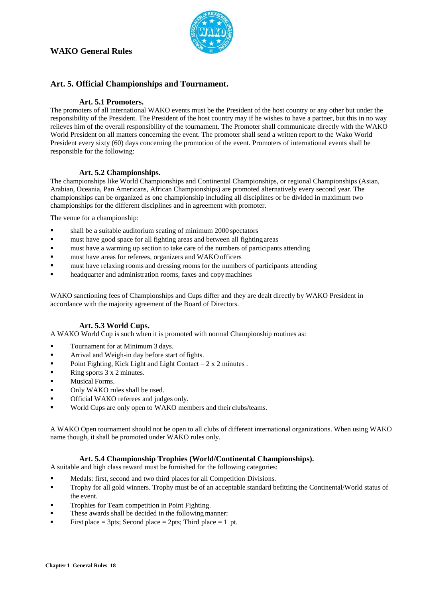

#### <span id="page-8-0"></span>**Art. 5. Official Championships and Tournament.**

#### **Art. 5.1 Promoters.**

<span id="page-8-1"></span>The promoters of all international WAKO events must be the President of the host country or any other but under the responsibility of the President. The President of the host country may if he wishes to have a partner, but this in no way relieves him of the overall responsibility of the tournament. The Promoter shall communicate directly with the WAKO World President on all matters concerning the event. The promoter shall send a written report to the Wako World President every sixty (60) days concerning the promotion of the event. Promoters of international events shall be responsible for the following:

#### **Art. 5.2 Championships.**

<span id="page-8-2"></span>The championships like World Championships and Continental Championships, or regional Championships (Asian, Arabian, Oceania, Pan Americans, African Championships) are promoted alternatively every second year. The championships can be organized as one championship including all disciplines or be divided in maximum two championships for the different disciplines and in agreement with promoter.

The venue for a championship:

- shall be a suitable auditorium seating of minimum 2000 spectators
- must have good space for all fighting areas and between all fightingareas
- must have a warming up section to take care of the numbers of participants attending
- must have areas for referees, organizers and WAKOofficers
- must have relaxing rooms and dressing rooms for the numbers of participants attending
- headquarter and administration rooms, faxes and copymachines

WAKO sanctioning fees of Championships and Cups differ and they are dealt directly by WAKO President in accordance with the majority agreement of the Board of Directors.

#### **Art. 5.3 World Cups.**

<span id="page-8-3"></span>A WAKO World Cup is such when it is promoted with normal Championship routines as:

- **Tournament for at Minimum 3 days.**
- **•** Arrival and Weigh-in day before start of fights.
- Point Fighting, Kick Light and Light Contact  $-2 \times 2$  minutes.
- Ring sports  $3 \times 2$  minutes.
- **Musical Forms.**
- Only WAKO rules shall be used.
- Official WAKO referees and judges only.
- World Cups are only open to WAKO members and their clubs/teams.

A WAKO Open tournament should not be open to all clubs of different international organizations. When using WAKO name though, it shall be promoted under WAKO rules only.

#### **Art. 5.4 Championship Trophies (World/Continental Championships).**

<span id="page-8-4"></span>A suitable and high class reward must be furnished for the following categories:

- Medals: first, second and two third places for all Competition Divisions.
- **Trophy for all gold winners. Trophy must be of an acceptable standard befitting the Continental/World status of** the event.
- Trophies for Team competition in Point Fighting.
- These awards shall be decided in the following manner:
- First place  $=$  3pts; Second place  $=$  2pts; Third place  $=$  1 pt.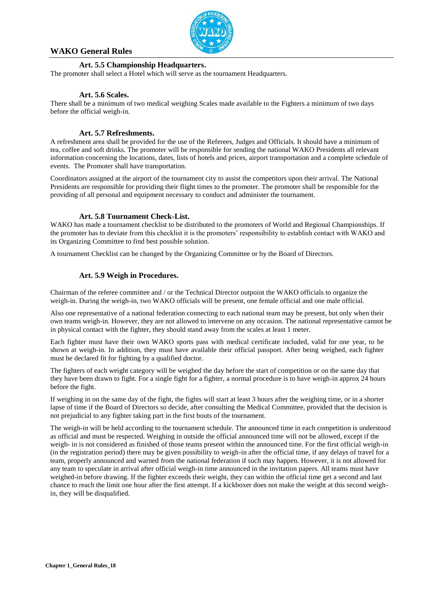

#### **Art. 5.5 Championship Headquarters.**

<span id="page-9-0"></span>The promoter shall select a Hotel which will serve as the tournament Headquarters.

#### **Art. 5.6 Scales.**

<span id="page-9-1"></span>There shall be a minimum of two medical weighing Scales made available to the Fighters a minimum of two days before the official weigh-in.

#### **Art. 5.7 Refreshments.**

<span id="page-9-2"></span>A refreshment area shall be provided for the use of the Referees, Judges and Officials. It should have a minimum of tea, coffee and soft drinks. The promoter will be responsible for sending the national WAKO Presidents all relevant information concerning the locations, dates, lists of hotels and prices, airport transportation and a complete schedule of events. The Promoter shall have transportation.

Coordinators assigned at the airport of the tournament city to assist the competitors upon their arrival. The National Presidents are responsible for providing their flight times to the promoter. The promoter shall be responsible for the providing of all personal and equipment necessary to conduct and administer the tournament.

#### **Art. 5.8 Tournament Check-List.**

<span id="page-9-3"></span>WAKO has made a tournament checklist to be distributed to the promoters of World and Regional Championships. If the promoter has to deviate from this checklist it is the promoters' responsibility to establish contact with WAKO and its Organizing Committee to find best possible solution.

<span id="page-9-4"></span>A tournament Checklist can be changed by the Organizing Committee or by the Board of Directors.

#### **Art. 5.9 Weigh in Procedures.**

Chairman of the referee committee and / or the Technical Director outpoint the WAKO officials to organize the weigh-in. During the weigh-in, two WAKO officials will be present, one female official and one male official.

Also one representative of a national federation connecting to each national team may be present, but only when their own teams weigh-in. However, they are not allowed to intervene on any occasion. The national representative cannot be in physical contact with the fighter, they should stand away from the scales at least 1 meter.

Each fighter must have their own WAKO sports pass with medical certificate included, valid for one year, to be shown at weigh-in. In addition, they must have available their official passport. After being weighed, each fighter must be declared fit for fighting by a qualified doctor.

The fighters of each weight category will be weighed the day before the start of competition or on the same day that they have been drawn to fight. For a single fight for a fighter, a normal procedure is to have weigh-in approx 24 hours before the fight.

If weighing in on the same day of the fight, the fights will start at least 3 hours after the weighing time, or in a shorter lapse of time if the Board of Directors so decide, after consulting the Medical Committee, provided that the decision is not prejudicial to any fighter taking part in the first bouts of the tournament.

The weigh-in will be held according to the tournament schedule. The announced time in each competition is understood as official and must be respected. Weighing in outside the official announced time will not be allowed, except if the weigh- in is not considered as finished of those teams present within the announced time. For the first official weigh-in (in the registration period) there may be given possibility to weigh-in after the official time, if any delays of travel for a team, properly announced and warned from the national federation if such may happen. However, it is not allowed for any team to speculate in arrival after official weigh-in time announced in the invitation papers. All teams must have weighed-in before drawing. If the fighter exceeds their weight, they can within the official time get a second and last chance to reach the limit one hour after the first attempt. If a kickboxer does not make the weight at this second weighin, they will be disqualified.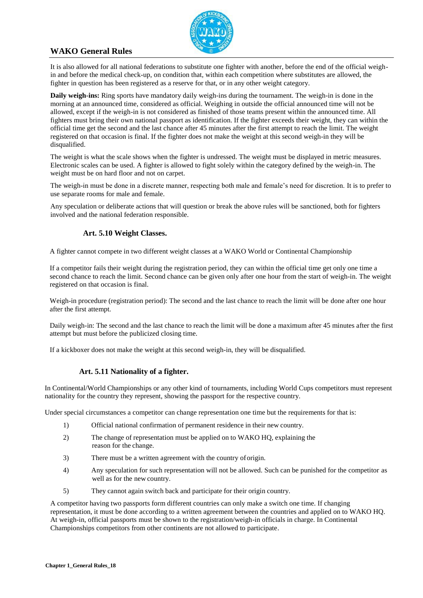

It is also allowed for all national federations to substitute one fighter with another, before the end of the official weighin and before the medical check-up, on condition that, within each competition where substitutes are allowed, the fighter in question has been registered as a reserve for that, or in any other weight category.

**Daily weigh-ins:** Ring sports have mandatory daily weigh-ins during the tournament. The weigh-in is done in the morning at an announced time, considered as official. Weighing in outside the official announced time will not be allowed, except if the weigh-in is not considered as finished of those teams present within the announced time. All fighters must bring their own national passport as identification. If the fighter exceeds their weight, they can within the official time get the second and the last chance after 45 minutes after the first attempt to reach the limit. The weight registered on that occasion is final. If the fighter does not make the weight at this second weigh-in they will be disqualified.

The weight is what the scale shows when the fighter is undressed. The weight must be displayed in metric measures. Electronic scales can be used. A fighter is allowed to fight solely within the category defined by the weigh-in. The weight must be on hard floor and not on carpet.

The weigh-in must be done in a discrete manner, respecting both male and female's need for discretion. It is to prefer to use separate rooms for male and female.

Any speculation or deliberate actions that will question or break the above rules will be sanctioned, both for fighters involved and the national federation responsible.

#### **Art. 5.10 Weight Classes.**

A fighter cannot compete in two different weight classes at a WAKO World or Continental Championship

If a competitor fails their weight during the registration period, they can within the official time get only one time a second chance to reach the limit. Second chance can be given only after one hour from the start of weigh-in. The weight registered on that occasion is final.

Weigh-in procedure (registration period): The second and the last chance to reach the limit will be done after one hour after the first attempt.

Daily weigh-in: The second and the last chance to reach the limit will be done a maximum after 45 minutes after the first attempt but must before the publicized closing time.

If a kickboxer does not make the weight at this second weigh-in, they will be disqualified.

#### <span id="page-10-0"></span>**Art. 5.11 Nationality of a fighter.**

In Continental/World Championships or any other kind of tournaments, including World Cups competitors must represent nationality for the country they represent, showing the passport for the respective country.

Under special circumstances a competitor can change representation one time but the requirements for that is:

- 1) Official national confirmation of permanent residence in their new country.
- 2) The change of representation must be applied on to WAKO HQ, explaining the reason for the change.
- 3) There must be a written agreement with the country oforigin.
- 4) Any speculation for such representation will not be allowed. Such can be punished for the competitor as well as for the new country.
- 5) They cannot again switch back and participate for their origin country.

A competitor having two passports form different countries can only make a switch one time. If changing representation, it must be done according to a written agreement between the countries and applied on to WAKO HQ. At weigh-in, official passports must be shown to the registration/weigh-in officials in charge. In Continental Championships competitors from other continents are not allowed to participate.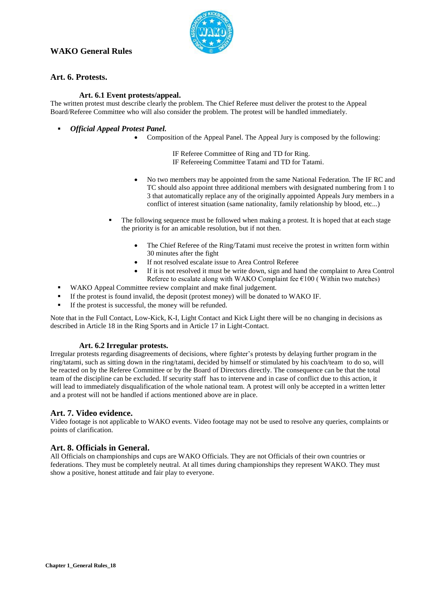

#### <span id="page-11-0"></span>**Art. 6. Protests.**

#### **Art. 6.1 Event protests/appeal.**

<span id="page-11-1"></span>The written protest must describe clearly the problem. The Chief Referee must deliver the protest to the Appeal Board/Referee Committee who will also consider the problem. The protest will be handled immediately.

- *Official Appeal Protest Panel.*
	- Composition of the Appeal Panel. The Appeal Jury is composed by the following:

IF Referee Committee of Ring and TD for Ring. IF Refereeing Committee Tatami and TD for Tatami.

- No two members may be appointed from the same National Federation. The IF RC and TC should also appoint three additional members with designated numbering from 1 to 3 that automatically replace any of the originally appointed Appeals Jury members in a conflict of interest situation (same nationality, family relationship by blood, etc...)
- The following sequence must be followed when making a protest. It is hoped that at each stage the priority is for an amicable resolution, but if not then.
	- The Chief Referee of the Ring/Tatami must receive the protest in written form within 30 minutes after the fight
	- If not resolved escalate issue to Area Control Referee
	- If it is not resolved it must be write down, sign and hand the complaint to Area Control Referee to escalate along with WAKO Complaint fee  $\epsilon$ 100 (Within two matches)
- WAKO Appeal Committee review complaint and make final judgement.
- If the protest is found invalid, the deposit (protest money) will be donated to WAKO IF.
- If the protest is successful, the money will be refunded.

Note that in the Full Contact, Low-Kick, K-I, Light Contact and Kick Light there will be no changing in decisions as described in Article 18 in the Ring Sports and in Article 17 in Light-Contact.

#### **Art. 6.2 Irregular protests.**

Irregular protests regarding disagreements of decisions, where fighter's protests by delaying further program in the ring/tatami, such as sitting down in the ring/tatami, decided by himself or stimulated by his coach/team to do so, will be reacted on by the Referee Committee or by the Board of Directors directly. The consequence can be that the total team of the discipline can be excluded. If security staff has to intervene and in case of conflict due to this action, it will lead to immediately disqualification of the whole national team. A protest will only be accepted in a written letter and a protest will not be handled if actions mentioned above are in place.

#### **Art. 7. Video evidence.**

Video footage is not applicable to WAKO events. Video footage may not be used to resolve any queries, complaints or points of clarification.

#### **Art. 8. Officials in General.**

All Officials on championships and cups are WAKO Officials. They are not Officials of their own countries or federations. They must be completely neutral. At all times during championships they represent WAKO. They must show a positive, honest attitude and fair play to everyone.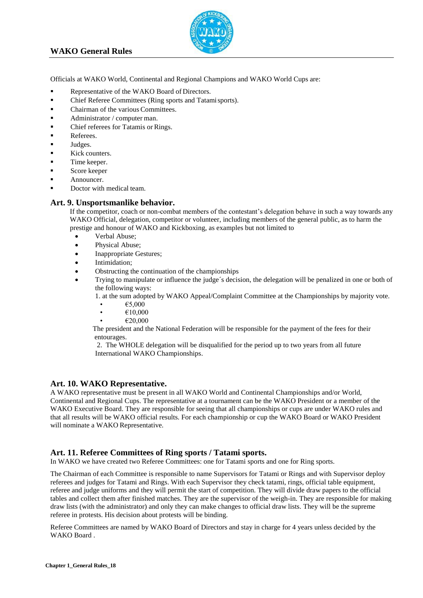<span id="page-12-0"></span>

<span id="page-12-1"></span>Officials at WAKO World, Continental and Regional Champions and WAKO World Cups are:

- Representative of the WAKO Board of Directors.
- Chief Referee Committees (Ring sports and Tatamisports).
- Chairman of the various Committees.
- $\blacksquare$  Administrator / computer man.
- Chief referees for Tatamis or Rings.
- **Referees.**
- **Judges.**
- Kick counters.
- Time keeper.
- Score keeper
- Announcer.
- Doctor with medical team.

#### <span id="page-12-2"></span>**Art. 9. Unsportsmanlike behavior.**

If the competitor, coach or non-combat members of the contestant's delegation behave in such a way towards any WAKO Official, delegation, competitor or volunteer, including members of the general public, as to harm the prestige and honour of WAKO and Kickboxing, as examples but not limited to

- Verbal Abuse;
- Physical Abuse;
- Inappropriate Gestures;
- Intimidation;
- Obstructing the continuation of the championships
- Trying to manipulate or influence the judge´s decision, the delegation will be penalized in one or both of the following ways:

1. at the sum adopted by WAKO Appeal/Complaint Committee at the Championships by majority vote.

- $\epsilon$ 5,000
- $\epsilon$ 10,000
- €20,000

 The president and the National Federation will be responsible for the payment of the fees for their entourages.

2. The WHOLE delegation will be disqualified for the period up to two years from all future International WAKO Championships.

#### **Art. 10. WAKO Representative.**

A WAKO representative must be present in all WAKO World and Continental Championships and/or World, Continental and Regional Cups. The representative at a tournament can be the WAKO President or a member of the WAKO Executive Board. They are responsible for seeing that all championships or cups are under WAKO rules and that all results will be WAKO official results. For each championship or cup the WAKO Board or WAKO President will nominate a WAKO Representative.

#### <span id="page-12-3"></span>**Art. 11. Referee Committees of Ring sports / Tatami sports.**

In WAKO we have created two Referee Committees: one for Tatami sports and one for Ring sports.

The Chairman of each Committee is responsible to name Supervisors for Tatami or Rings and with Supervisor deploy referees and judges for Tatami and Rings. With each Supervisor they check tatami, rings, official table equipment, referee and judge uniforms and they will permit the start of competition. They will divide draw papers to the official tables and collect them after finished matches. They are the supervisor of the weigh-in. They are responsible for making draw lists (with the administrator) and only they can make changes to official draw lists. They will be the supreme referee in protests. His decision about protests will be binding.

Referee Committees are named by WAKO Board of Directors and stay in charge for 4 years unless decided by the WAKO Board .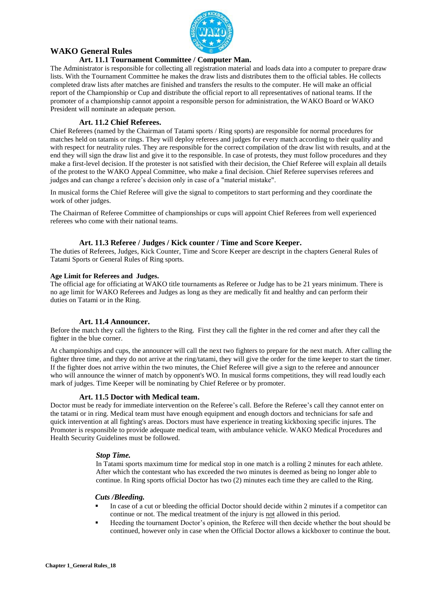

#### **Art. 11.1 Tournament Committee / Computer Man.**

The Administrator is responsible for collecting all registration material and loads data into a computer to prepare draw lists. With the Tournament Committee he makes the draw lists and distributes them to the official tables. He collects completed draw lists after matches are finished and transfers the results to the computer. He will make an official report of the Championship or Cup and distribute the official report to all representatives of national teams. If the promoter of a championship cannot appoint a responsible person for administration, the WAKO Board or WAKO President will nominate an adequate person.

#### **Art. 11.2 Chief Referees.**

<span id="page-13-0"></span>Chief Referees (named by the Chairman of Tatami sports / Ring sports) are responsible for normal procedures for matches held on tatamis or rings. They will deploy referees and judges for every match according to their quality and with respect for neutrality rules. They are responsible for the correct compilation of the draw list with results, and at the end they will sign the draw list and give it to the responsible. In case of protests, they must follow procedures and they make a first-level decision. If the protester is not satisfied with their decision, the Chief Referee will explain all details of the protest to the WAKO Appeal Committee, who make a final decision. Chief Referee supervises referees and judges and can change a referee's decision only in case of a "material mistake".

In musical forms the Chief Referee will give the signal to competitors to start performing and they coordinate the work of other judges.

The Chairman of Referee Committee of championships or cups will appoint Chief Referees from well experienced referees who come with their national teams.

#### **Art. 11.3 Referee / Judges / Kick counter / Time and Score Keeper.**

<span id="page-13-1"></span>The duties of Referees, Judges, Kick Counter, Time and Score Keeper are descript in the chapters General Rules of Tatami Sports or General Rules of Ring sports.

#### **Age Limit for Referees and Judges.**

The official age for officiating at WAKO title tournaments as Referee or Judge has to be 21 years minimum. There is no age limit for WAKO Referees and Judges as long as they are medically fit and healthy and can perform their duties on Tatami or in the Ring.

#### **Art. 11.4 Announcer.**

<span id="page-13-2"></span>Before the match they call the fighters to the Ring. First they call the fighter in the red corner and after they call the fighter in the blue corner.

At championships and cups, the announcer will call the next two fighters to prepare for the next match. After calling the fighter three time, and they do not arrive at the ring/tatami, they will give the order for the time keeper to start the timer. If the fighter does not arrive within the two minutes, the Chief Referee will give a sign to the referee and announcer who will announce the winner of match by opponent's WO. In musical forms competitions, they will read loudly each mark of judges. Time Keeper will be nominating by Chief Referee or by promoter.

#### **Art. 11.5 Doctor with Medical team.**

Doctor must be ready for immediate intervention on the Referee's call. Before the Referee's call they cannot enter on the tatami or in ring. Medical team must have enough equipment and enough doctors and technicians for safe and quick intervention at all fighting's areas. Doctors must have experience in treating kickboxing specific injures. The Promoter is responsible to provide adequate medical team, with ambulance vehicle. WAKO Medical Procedures and Health Security Guidelines must be followed.

#### *Stop Time.*

In Tatami sports maximum time for medical stop in one match is a rolling 2 minutes for each athlete. After which the contestant who has exceeded the two minutes is deemed as being no longer able to continue. In Ring sports official Doctor has two (2) minutes each time they are called to the Ring.

#### *Cuts /Bleeding.*

- In case of a cut or bleeding the official Doctor should decide within 2 minutes if a competitor can continue or not. The medical treatment of the injury is not allowed in this period.
- Heeding the tournament Doctor's opinion, the Referee will then decide whether the bout should be continued, however only in case when the Official Doctor allows a kickboxer to continue the bout.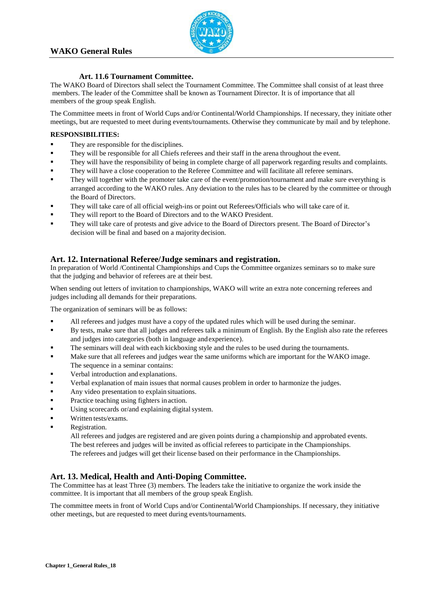

#### **Art. 11.6 Tournament Committee.**

<span id="page-14-1"></span><span id="page-14-0"></span>The WAKO Board of Directors shall select the Tournament Committee. The Committee shall consist of at least three members. The leader of the Committee shall be known as Tournament Director. It is of importance that all members of the group speak English.

The Committee meets in front of World Cups and/or Continental/World Championships. If necessary, they initiate other meetings, but are requested to meet during events/tournaments. Otherwise they communicate by mail and by telephone.

#### **RESPONSIBILITIES:**

- They are responsible for the disciplines.
- They will be responsible for all Chiefs referees and their staff in the arena throughout the event.
- They will have the responsibility of being in complete charge of all paperwork regarding results and complaints.
- They will have a close cooperation to the Referee Committee and will facilitate all referee seminars.
- They will together with the promoter take care of the event/promotion/tournament and make sure everything is arranged according to the WAKO rules. Any deviation to the rules has to be cleared by the committee or through the Board of Directors.
- They will take care of all official weigh-ins or point out Referees/Officials who will take care of it.
- They will report to the Board of Directors and to the WAKO President.
- They will take care of protests and give advice to the Board of Directors present. The Board of Director's decision will be final and based on a majority decision.

#### **Art. 12. International Referee/Judge seminars and registration.**

In preparation of World /Continental Championships and Cups the Committee organizes seminars so to make sure that the judging and behavior of referees are at their best.

When sending out letters of invitation to championships, WAKO will write an extra note concerning referees and judges including all demands for their preparations.

The organization of seminars will be as follows:

- All referees and judges must have a copy of the updated rules which will be used during the seminar.
- By tests, make sure that all judges and referees talk a minimum of English. By the English also rate the referees and judges into categories (both in language andexperience).
- The seminars will deal with each kickboxing style and the rules to be used during the tournaments.
- Make sure that all referees and judges wear the same uniforms which are important for the WAKO image.
- The sequence in a seminar contains:
- Verbal introduction and explanations.
- Verbal explanation of main issues that normal causes problem in order to harmonize the judges.
- Any video presentation to explain situations.
- **Practice teaching using fighters in action.**
- Using scorecards or/and explaining digital system.
- Written tests/exams.
- Registration.

All referees and judges are registered and are given points during a championship and approbated events. The best referees and judges will be invited as official referees to participate in the Championships. The referees and judges will get their license based on their performance in the Championships.

#### **Art. 13. Medical, Health and Anti-Doping Committee.**

The Committee has at least Three (3) members. The leaders take the initiative to organize the work inside the committee. It is important that all members of the group speak English.

The committee meets in front of World Cups and/or Continental/World Championships. If necessary, they initiative other meetings, but are requested to meet during events/tournaments.